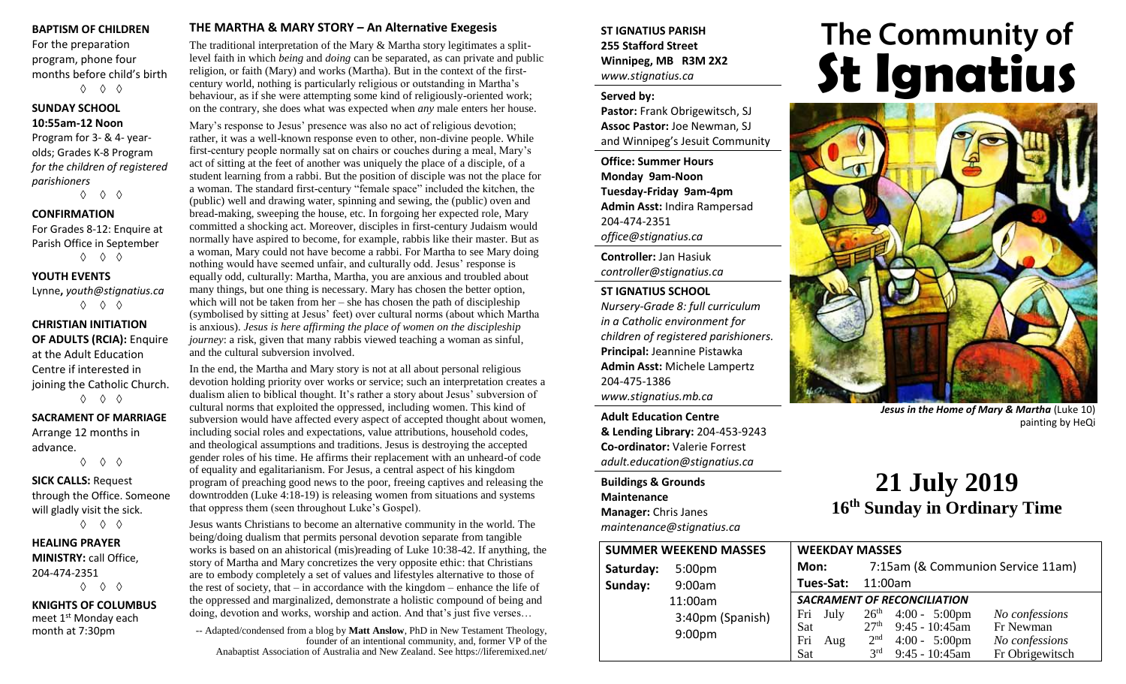#### **BAPTISM OF CHILDREN**

For the preparation program, phone four months before child's birth ◊ ◊ ◊

#### **SUNDAY SCHOOL 10:55am-12 Noon**

Program for 3- & 4- yearolds; Grades K-8 Program *for the children of registered parishioners*

◊ ◊ ◊

#### **CONFIRMATION**

For Grades 8-12: Enquire at Parish Office in September ◊ ◊ ◊

#### **YOUTH EVENTS**

Lynne**,** *youth@stignatius.ca* ◊ ◊ ◊

#### **CHRISTIAN INITIATION OF ADULTS (RCIA):** Enquire at the Adult Education Centre if interested in joining the Catholic Church. ◊ ◊ ◊

**SACRAMENT OF MARRIAGE** Arrange 12 months in

advance. ◊ ◊ ◊

**SICK CALLS:** Request through the Office. Someone will gladly visit the sick.

◊ ◊ ◊

#### **HEALING PRAYER MINISTRY:** call Office, 204-474-2351 ◊ ◊ ◊

**KNIGHTS OF COLUMBUS** meet 1<sup>st</sup> Monday each month at 7:30pm

#### **THE MARTHA & MARY STORY – An Alternative Exegesis**

The traditional interpretation of the Mary & Martha story legitimates a splitlevel faith in which *being* and *doing* can be separated, as can private and public religion, or faith (Mary) and works (Martha). But in the context of the firstcentury world, nothing is particularly religious or outstanding in Martha's behaviour, as if she were attempting some kind of religiously-oriented work; on the contrary, she does what was expected when *any* male enters her house.

Mary's response to Jesus' presence was also no act of religious devotion; rather, it was a well-known response even to other, non-divine people. While first-century people normally sat on chairs or couches during a meal, Mary's act of sitting at the feet of another was uniquely the place of a disciple, of a student learning from a rabbi. But the position of disciple was not the place for a woman. The standard first-century "female space" included the kitchen, the (public) well and drawing water, spinning and sewing, the (public) oven and bread-making, sweeping the house, etc. In forgoing her expected role, Mary committed a shocking act. Moreover, disciples in first-century Judaism would normally have aspired to become, for example, rabbis like their master. But as a woman, Mary could not have become a rabbi. For Martha to see Mary doing nothing would have seemed unfair, and culturally odd. Jesus' response is equally odd, culturally: Martha, Martha, you are anxious and troubled about many things, but one thing is necessary. Mary has chosen the better option, which will not be taken from her – she has chosen the path of discipleship (symbolised by sitting at Jesus' feet) over cultural norms (about which Martha is anxious). *Jesus is here affirming the place of women on the discipleship journey*: a risk, given that many rabbis viewed teaching a woman as sinful, and the cultural subversion involved.

In the end, the Martha and Mary story is not at all about personal religious devotion holding priority over works or service; such an interpretation creates a dualism alien to biblical thought. It's rather a story about Jesus' subversion of cultural norms that exploited the oppressed, including women. This kind of subversion would have affected every aspect of accepted thought about women, including social roles and expectations, value attributions, household codes, and theological assumptions and traditions. Jesus is destroying the accepted gender roles of his time. He affirms their replacement with an unheard-of code of equality and egalitarianism. For Jesus, a central aspect of his kingdom program of preaching good news to the poor, freeing captives and releasing the downtrodden (Luke 4:18-19) is releasing women from situations and systems that oppress them (seen throughout Luke's Gospel).

Jesus wants Christians to become an alternative community in the world. The being/doing dualism that permits personal devotion separate from tangible works is based on an ahistorical (mis)reading of Luke 10:38-42. If anything, the story of Martha and Mary concretizes the very opposite ethic: that Christians are to embody completely a set of values and lifestyles alternative to those of the rest of society, that – in accordance with the kingdom – enhance the life of the oppressed and marginalized, demonstrate a holistic compound of being and doing, devotion and works, worship and action. And that's just five verses…

-- Adapted/condensed from a blog by **Matt Anslow**, PhD in New Testament Theology, founder of an intentional community, and, former VP of the Anabaptist Association of Australia and New Zealand. See https://liferemixed.net/

#### **ST IGNATIUS PARISH 255 Stafford Street Winnipeg, MB R3M 2X2** *www.stignatius.ca*

#### **Served by:**

**Pastor:** Frank Obrigewitsch, SJ **Assoc Pastor:** Joe Newman, SJ and Winnipeg's Jesuit Community

**Office: Summer Hours Monday 9am-Noon Tuesday-Friday 9am-4pm Admin Asst:** Indira Rampersad 204-474-2351 *office@stignatius.ca*

**Controller:** Jan Hasiuk *controller@stignatius.ca*

#### **ST IGNATIUS SCHOOL**

*Nursery-Grade 8: full curriculum in a Catholic environment for children of registered parishioners.* **Principal:** Jeannine Pistawka **Admin Asst:** Michele Lampertz 204-475-1386 *www.stignatius.mb.ca*

**Adult Education Centre & Lending Library:** 204-453-9243 **Co-ordinator:** Valerie Forrest *adult.education@stignatius.ca*

**Buildings & Grounds Maintenance Manager:** Chris Janes *maintenance@stignatius.ca*

# The Community of<br>**St Ignatius**



*Jesus in the Home of Mary & Martha* (Luke 10) painting by HeQi

## **21 July 2019 16 th Sunday in Ordinary Time**

| <b>SUMMER WEEKEND MASSES</b> |                                        |                                    | <b>WEEKDAY MASSES</b> |                  |                                   |                 |  |
|------------------------------|----------------------------------------|------------------------------------|-----------------------|------------------|-----------------------------------|-----------------|--|
| Saturday:                    | 5:00 <sub>pm</sub>                     | Mon:                               |                       |                  | 7:15am (& Communion Service 11am) |                 |  |
| Sunday:                      | 9:00am                                 |                                    | Tues-Sat:<br>11:00am  |                  |                                   |                 |  |
|                              | 11:00am                                | <b>SACRAMENT OF RECONCILIATION</b> |                       |                  |                                   |                 |  |
|                              | 3:40pm (Spanish)<br>9:00 <sub>pm</sub> |                                    | Fri July              |                  | $26th$ 4:00 - 5:00pm              | No confessions  |  |
|                              |                                        | Sat                                |                       | 27 <sup>th</sup> | $9:45 - 10:45$ am                 | Fr Newman       |  |
|                              |                                        | Fri                                | Aug                   | 2 <sup>nd</sup>  | $4:00 - 5:00 \text{pm}$           | No confessions  |  |
|                              |                                        | Sat                                |                       | 3 <sup>rd</sup>  | $9:45 - 10:45$ am                 | Fr Obrigewitsch |  |